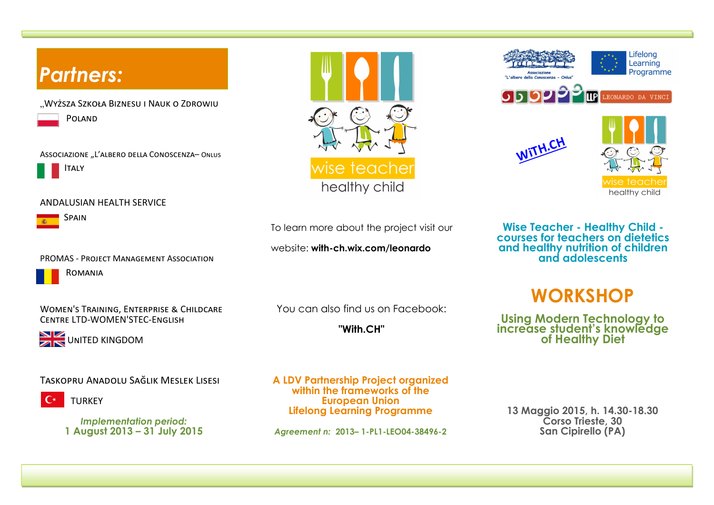

teac healthy child

To learn more about the project visit our

website: **with-ch.wix.com/leonardo**

You can also find us on Facebook:

**"With.CH"**

**A LDV Partnership Project organized within the frameworks of the European Union Lifelong Learning Programme** 

*Agreement n:* **2013– 1-PL1-LEO04-38496-2**

**Wise Teacher - Healthy Child courses for teachers on dietetics and healthy nutrition of children and adolescents**

Lifelona Learning Programme

LEONARDO DA VINCI

healthy child

**WiTH.CH**



**Using Modern Technology to increase student's knowledge of Healthy Diet** 

**13 Maggio 2015, h. 14.30-18.30 Corso Trieste, 30 San Cipirello (PA)**